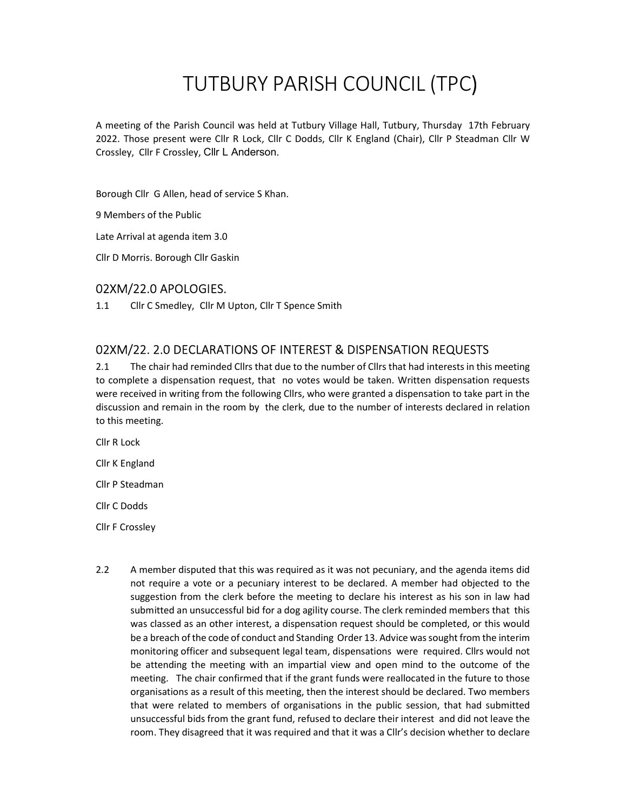# TUTBURY PARISH COUNCIL (TPC)

A meeting of the Parish Council was held at Tutbury Village Hall, Tutbury, Thursday 17th February 2022. Those present were Cllr R Lock, Cllr C Dodds, Cllr K England (Chair), Cllr P Steadman Cllr W Crossley, Cllr F Crossley, Cllr L Anderson.

Borough Cllr G Allen, head of service S Khan.

9 Members of the Public

Late Arrival at agenda item 3.0

Cllr D Morris. Borough Cllr Gaskin

#### 02XM/22.0 APOLOGIES.

1.1 Cllr C Smedley, Cllr M Upton, Cllr T Spence Smith

### 02XM/22. 2.0 DECLARATIONS OF INTEREST & DISPENSATION REQUESTS

2.1 The chair had reminded Cllrs that due to the number of Cllrs that had interests in this meeting to complete a dispensation request, that no votes would be taken. Written dispensation requests were received in writing from the following Cllrs, who were granted a dispensation to take part in the discussion and remain in the room by the clerk, due to the number of interests declared in relation to this meeting.

Cllr R Lock

Cllr K England

Cllr P Steadman

Cllr C Dodds

Cllr F Crossley

2.2 A member disputed that this was required as it was not pecuniary, and the agenda items did not require a vote or a pecuniary interest to be declared. A member had objected to the suggestion from the clerk before the meeting to declare his interest as his son in law had submitted an unsuccessful bid for a dog agility course. The clerk reminded members that this was classed as an other interest, a dispensation request should be completed, or this would be a breach of the code of conduct and Standing Order 13. Advice was sought from the interim monitoring officer and subsequent legal team, dispensations were required. Cllrs would not be attending the meeting with an impartial view and open mind to the outcome of the meeting. The chair confirmed that if the grant funds were reallocated in the future to those organisations as a result of this meeting, then the interest should be declared. Two members that were related to members of organisations in the public session, that had submitted unsuccessful bids from the grant fund, refused to declare their interest and did not leave the room. They disagreed that it was required and that it was a Cllr's decision whether to declare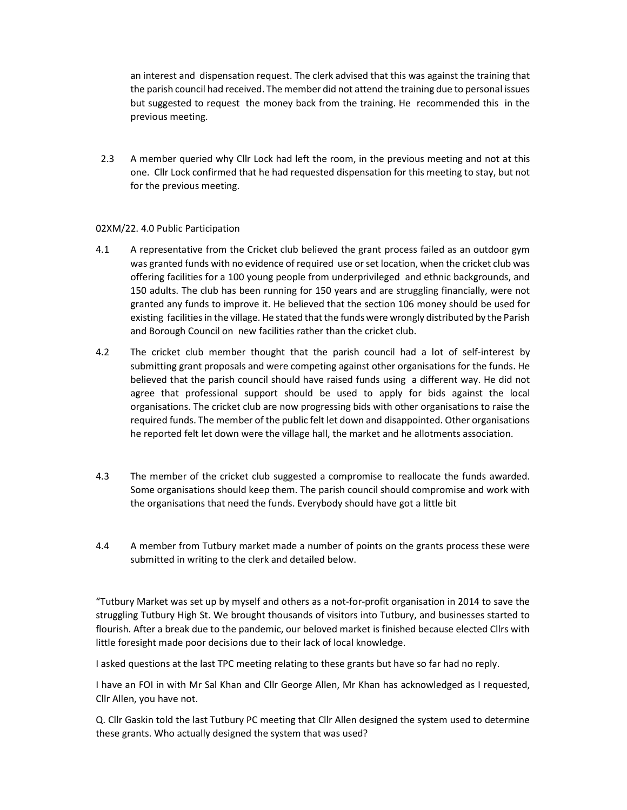an interest and dispensation request. The clerk advised that this was against the training that the parish council had received. The member did not attend the training due to personal issues but suggested to request the money back from the training. He recommended this in the previous meeting.

2.3 A member queried why Cllr Lock had left the room, in the previous meeting and not at this one. Cllr Lock confirmed that he had requested dispensation for this meeting to stay, but not for the previous meeting.

#### 02XM/22. 4.0 Public Participation

- 4.1 A representative from the Cricket club believed the grant process failed as an outdoor gym was granted funds with no evidence of required use or set location, when the cricket club was offering facilities for a 100 young people from underprivileged and ethnic backgrounds, and 150 adults. The club has been running for 150 years and are struggling financially, were not granted any funds to improve it. He believed that the section 106 money should be used for existing facilities in the village. He stated that the funds were wrongly distributed by the Parish and Borough Council on new facilities rather than the cricket club.
- 4.2 The cricket club member thought that the parish council had a lot of self-interest by submitting grant proposals and were competing against other organisations for the funds. He believed that the parish council should have raised funds using a different way. He did not agree that professional support should be used to apply for bids against the local organisations. The cricket club are now progressing bids with other organisations to raise the required funds. The member of the public felt let down and disappointed. Other organisations he reported felt let down were the village hall, the market and he allotments association.
- 4.3 The member of the cricket club suggested a compromise to reallocate the funds awarded. Some organisations should keep them. The parish council should compromise and work with the organisations that need the funds. Everybody should have got a little bit
- 4.4 A member from Tutbury market made a number of points on the grants process these were submitted in writing to the clerk and detailed below.

"Tutbury Market was set up by myself and others as a not-for-profit organisation in 2014 to save the struggling Tutbury High St. We brought thousands of visitors into Tutbury, and businesses started to flourish. After a break due to the pandemic, our beloved market is finished because elected Cllrs with little foresight made poor decisions due to their lack of local knowledge.

I asked questions at the last TPC meeting relating to these grants but have so far had no reply.

I have an FOI in with Mr Sal Khan and Cllr George Allen, Mr Khan has acknowledged as I requested, Cllr Allen, you have not.

Q. Cllr Gaskin told the last Tutbury PC meeting that Cllr Allen designed the system used to determine these grants. Who actually designed the system that was used?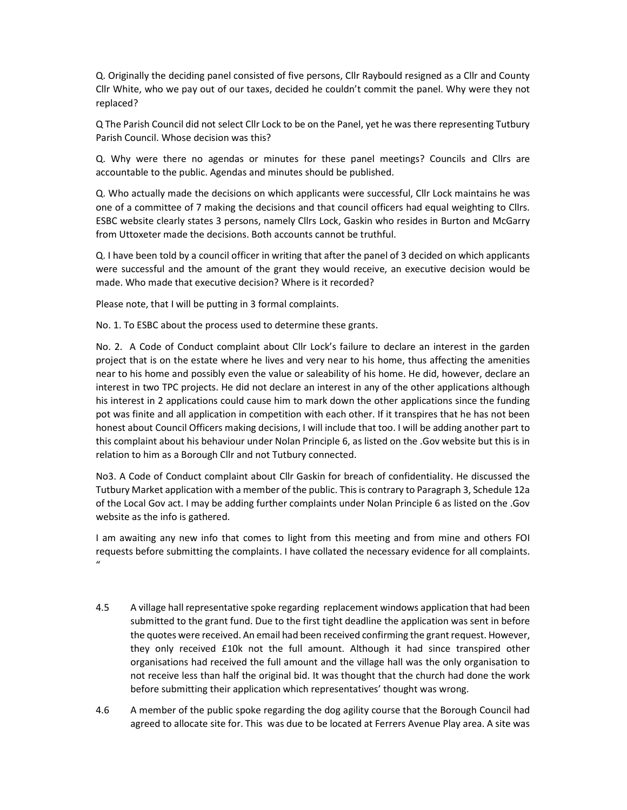Q. Originally the deciding panel consisted of five persons, Cllr Raybould resigned as a Cllr and County Cllr White, who we pay out of our taxes, decided he couldn't commit the panel. Why were they not replaced?

Q The Parish Council did not select Cllr Lock to be on the Panel, yet he was there representing Tutbury Parish Council. Whose decision was this?

Q. Why were there no agendas or minutes for these panel meetings? Councils and Cllrs are accountable to the public. Agendas and minutes should be published.

Q. Who actually made the decisions on which applicants were successful, Cllr Lock maintains he was one of a committee of 7 making the decisions and that council officers had equal weighting to Cllrs. ESBC website clearly states 3 persons, namely Cllrs Lock, Gaskin who resides in Burton and McGarry from Uttoxeter made the decisions. Both accounts cannot be truthful.

Q. I have been told by a council officer in writing that after the panel of 3 decided on which applicants were successful and the amount of the grant they would receive, an executive decision would be made. Who made that executive decision? Where is it recorded?

Please note, that I will be putting in 3 formal complaints.

No. 1. To ESBC about the process used to determine these grants.

No. 2. A Code of Conduct complaint about Cllr Lock's failure to declare an interest in the garden project that is on the estate where he lives and very near to his home, thus affecting the amenities near to his home and possibly even the value or saleability of his home. He did, however, declare an interest in two TPC projects. He did not declare an interest in any of the other applications although his interest in 2 applications could cause him to mark down the other applications since the funding pot was finite and all application in competition with each other. If it transpires that he has not been honest about Council Officers making decisions, I will include that too. I will be adding another part to this complaint about his behaviour under Nolan Principle 6, as listed on the .Gov website but this is in relation to him as a Borough Cllr and not Tutbury connected.

No3. A Code of Conduct complaint about Cllr Gaskin for breach of confidentiality. He discussed the Tutbury Market application with a member of the public. This is contrary to Paragraph 3, Schedule 12a of the Local Gov act. I may be adding further complaints under Nolan Principle 6 as listed on the .Gov website as the info is gathered.

I am awaiting any new info that comes to light from this meeting and from mine and others FOI requests before submitting the complaints. I have collated the necessary evidence for all complaints.  $\mathbf{u}$ 

- 4.5 A village hall representative spoke regarding replacement windows application that had been submitted to the grant fund. Due to the first tight deadline the application was sent in before the quotes were received. An email had been received confirming the grant request. However, they only received £10k not the full amount. Although it had since transpired other organisations had received the full amount and the village hall was the only organisation to not receive less than half the original bid. It was thought that the church had done the work before submitting their application which representatives' thought was wrong.
- 4.6 A member of the public spoke regarding the dog agility course that the Borough Council had agreed to allocate site for. This was due to be located at Ferrers Avenue Play area. A site was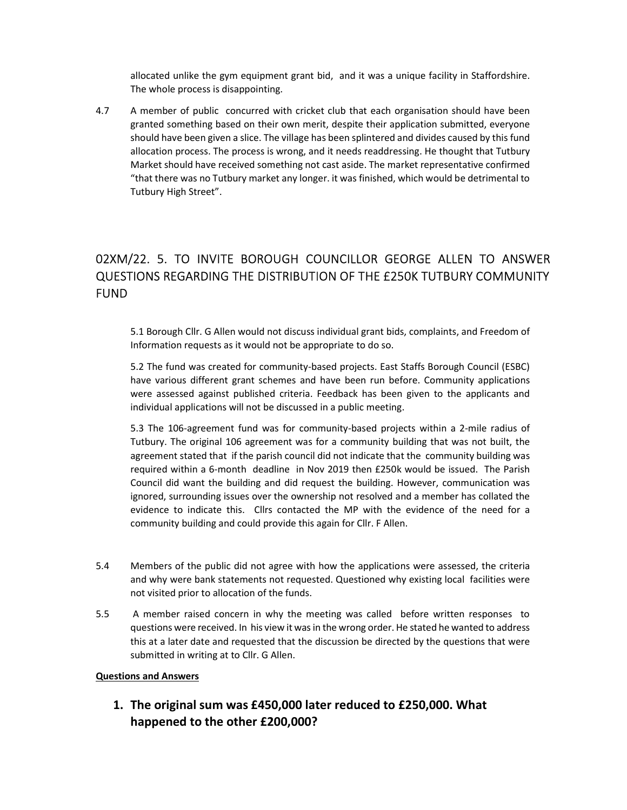allocated unlike the gym equipment grant bid, and it was a unique facility in Staffordshire. The whole process is disappointing.

4.7 A member of public concurred with cricket club that each organisation should have been granted something based on their own merit, despite their application submitted, everyone should have been given a slice. The village has been splintered and divides caused by this fund allocation process. The process is wrong, and it needs readdressing. He thought that Tutbury Market should have received something not cast aside. The market representative confirmed "that there was no Tutbury market any longer. it was finished, which would be detrimental to Tutbury High Street".

# 02XM/22. 5. TO INVITE BOROUGH COUNCILLOR GEORGE ALLEN TO ANSWER QUESTIONS REGARDING THE DISTRIBUTION OF THE £250K TUTBURY COMMUNITY FUND

5.1 Borough Cllr. G Allen would not discuss individual grant bids, complaints, and Freedom of Information requests as it would not be appropriate to do so.

5.2 The fund was created for community-based projects. East Staffs Borough Council (ESBC) have various different grant schemes and have been run before. Community applications were assessed against published criteria. Feedback has been given to the applicants and individual applications will not be discussed in a public meeting.

5.3 The 106-agreement fund was for community-based projects within a 2-mile radius of Tutbury. The original 106 agreement was for a community building that was not built, the agreement stated that if the parish council did not indicate that the community building was required within a 6-month deadline in Nov 2019 then £250k would be issued. The Parish Council did want the building and did request the building. However, communication was ignored, surrounding issues over the ownership not resolved and a member has collated the evidence to indicate this. Cllrs contacted the MP with the evidence of the need for a community building and could provide this again for Cllr. F Allen.

- 5.4 Members of the public did not agree with how the applications were assessed, the criteria and why were bank statements not requested. Questioned why existing local facilities were not visited prior to allocation of the funds.
- 5.5 A member raised concern in why the meeting was called before written responses to questions were received. In his view it was in the wrong order. He stated he wanted to address this at a later date and requested that the discussion be directed by the questions that were submitted in writing at to Cllr. G Allen.

#### Questions and Answers

1. The original sum was £450,000 later reduced to £250,000. What happened to the other £200,000?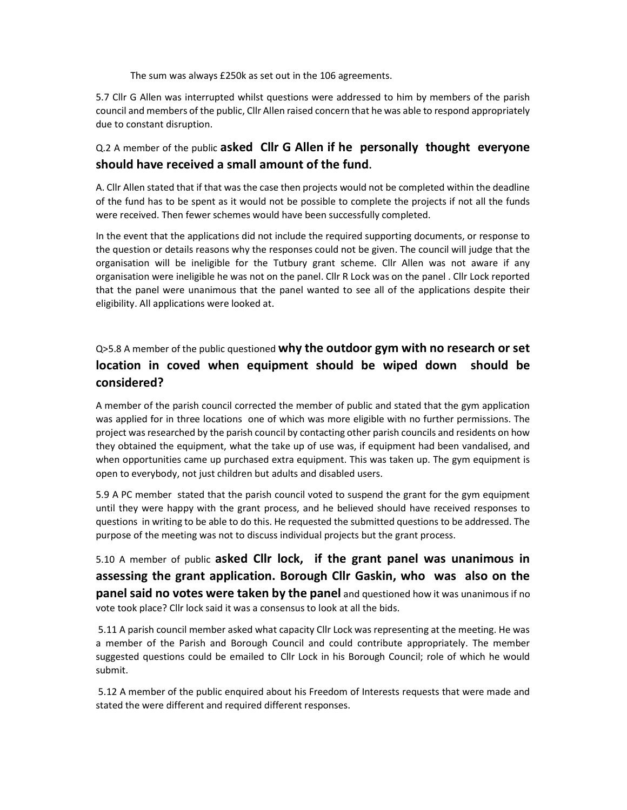The sum was always £250k as set out in the 106 agreements.

5.7 Cllr G Allen was interrupted whilst questions were addressed to him by members of the parish council and members of the public, Cllr Allen raised concern that he was able to respond appropriately due to constant disruption.

#### Q.2 A member of the public asked Cllr G Allen if he personally thought everyone should have received a small amount of the fund.

A. Cllr Allen stated that if that was the case then projects would not be completed within the deadline of the fund has to be spent as it would not be possible to complete the projects if not all the funds were received. Then fewer schemes would have been successfully completed.

In the event that the applications did not include the required supporting documents, or response to the question or details reasons why the responses could not be given. The council will judge that the organisation will be ineligible for the Tutbury grant scheme. Cllr Allen was not aware if any organisation were ineligible he was not on the panel. Cllr R Lock was on the panel . Cllr Lock reported that the panel were unanimous that the panel wanted to see all of the applications despite their eligibility. All applications were looked at.

### Q>5.8 A member of the public questioned why the outdoor gym with no research or set location in coved when equipment should be wiped down should be considered?

A member of the parish council corrected the member of public and stated that the gym application was applied for in three locations one of which was more eligible with no further permissions. The project was researched by the parish council by contacting other parish councils and residents on how they obtained the equipment, what the take up of use was, if equipment had been vandalised, and when opportunities came up purchased extra equipment. This was taken up. The gym equipment is open to everybody, not just children but adults and disabled users.

5.9 A PC member stated that the parish council voted to suspend the grant for the gym equipment until they were happy with the grant process, and he believed should have received responses to questions in writing to be able to do this. He requested the submitted questions to be addressed. The purpose of the meeting was not to discuss individual projects but the grant process.

5.10 A member of public asked Cllr lock, if the grant panel was unanimous in assessing the grant application. Borough Cllr Gaskin, who was also on the **panel said no votes were taken by the panel** and questioned how it was unanimous if no vote took place? Cllr lock said it was a consensus to look at all the bids.

 5.11 A parish council member asked what capacity Cllr Lock was representing at the meeting. He was a member of the Parish and Borough Council and could contribute appropriately. The member suggested questions could be emailed to Cllr Lock in his Borough Council; role of which he would submit.

 5.12 A member of the public enquired about his Freedom of Interests requests that were made and stated the were different and required different responses.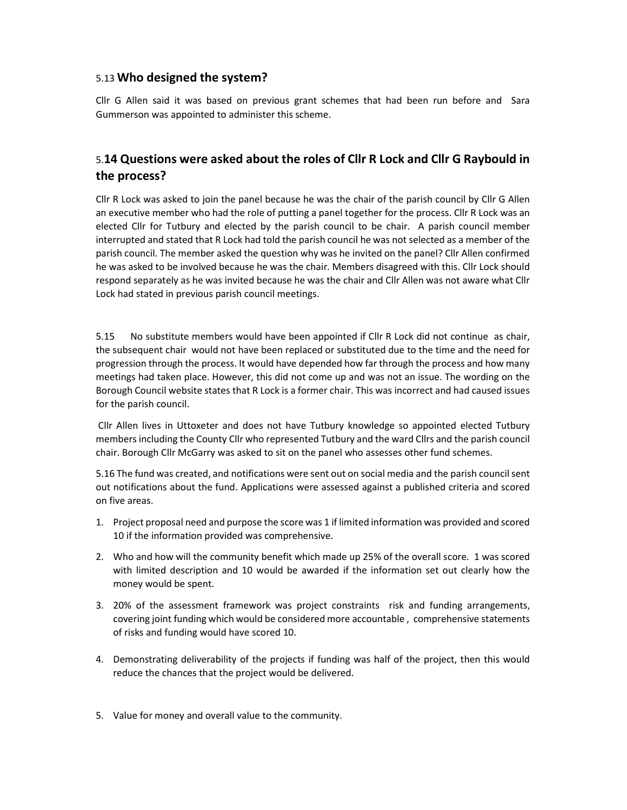#### 5.13 Who designed the system?

Cllr G Allen said it was based on previous grant schemes that had been run before and Sara Gummerson was appointed to administer this scheme.

#### 5.14 Questions were asked about the roles of Cllr R Lock and Cllr G Raybould in the process?

Cllr R Lock was asked to join the panel because he was the chair of the parish council by Cllr G Allen an executive member who had the role of putting a panel together for the process. Cllr R Lock was an elected Cllr for Tutbury and elected by the parish council to be chair. A parish council member interrupted and stated that R Lock had told the parish council he was not selected as a member of the parish council. The member asked the question why was he invited on the panel? Cllr Allen confirmed he was asked to be involved because he was the chair. Members disagreed with this. Cllr Lock should respond separately as he was invited because he was the chair and Cllr Allen was not aware what Cllr Lock had stated in previous parish council meetings.

5.15 No substitute members would have been appointed if Cllr R Lock did not continue as chair, the subsequent chair would not have been replaced or substituted due to the time and the need for progression through the process. It would have depended how far through the process and how many meetings had taken place. However, this did not come up and was not an issue. The wording on the Borough Council website states that R Lock is a former chair. This was incorrect and had caused issues for the parish council.

 Cllr Allen lives in Uttoxeter and does not have Tutbury knowledge so appointed elected Tutbury members including the County Cllr who represented Tutbury and the ward Cllrs and the parish council chair. Borough Cllr McGarry was asked to sit on the panel who assesses other fund schemes.

5.16 The fund was created, and notifications were sent out on social media and the parish council sent out notifications about the fund. Applications were assessed against a published criteria and scored on five areas.

- 1. Project proposal need and purpose the score was 1 if limited information was provided and scored 10 if the information provided was comprehensive.
- 2. Who and how will the community benefit which made up 25% of the overall score. 1 was scored with limited description and 10 would be awarded if the information set out clearly how the money would be spent.
- 3. 20% of the assessment framework was project constraints risk and funding arrangements, covering joint funding which would be considered more accountable , comprehensive statements of risks and funding would have scored 10.
- 4. Demonstrating deliverability of the projects if funding was half of the project, then this would reduce the chances that the project would be delivered.
- 5. Value for money and overall value to the community.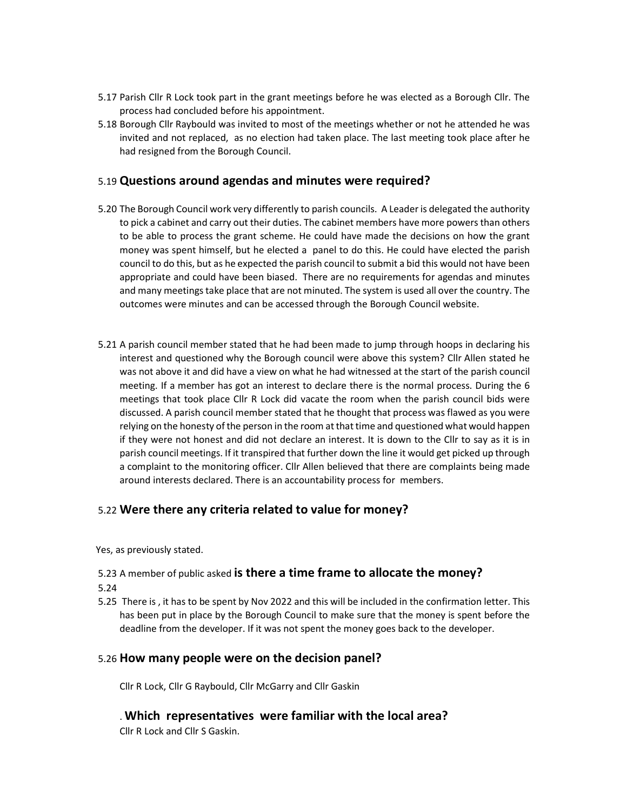- 5.17 Parish Cllr R Lock took part in the grant meetings before he was elected as a Borough Cllr. The process had concluded before his appointment.
- 5.18 Borough Cllr Raybould was invited to most of the meetings whether or not he attended he was invited and not replaced, as no election had taken place. The last meeting took place after he had resigned from the Borough Council.

#### 5.19 Questions around agendas and minutes were required?

- 5.20 The Borough Council work very differently to parish councils. A Leader is delegated the authority to pick a cabinet and carry out their duties. The cabinet members have more powers than others to be able to process the grant scheme. He could have made the decisions on how the grant money was spent himself, but he elected a panel to do this. He could have elected the parish council to do this, but as he expected the parish council to submit a bid this would not have been appropriate and could have been biased. There are no requirements for agendas and minutes and many meetings take place that are not minuted. The system is used all over the country. The outcomes were minutes and can be accessed through the Borough Council website.
- 5.21 A parish council member stated that he had been made to jump through hoops in declaring his interest and questioned why the Borough council were above this system? Cllr Allen stated he was not above it and did have a view on what he had witnessed at the start of the parish council meeting. If a member has got an interest to declare there is the normal process. During the 6 meetings that took place Cllr R Lock did vacate the room when the parish council bids were discussed. A parish council member stated that he thought that process was flawed as you were relying on the honesty of the person in the room at that time and questioned what would happen if they were not honest and did not declare an interest. It is down to the Cllr to say as it is in parish council meetings. If it transpired that further down the line it would get picked up through a complaint to the monitoring officer. Cllr Allen believed that there are complaints being made around interests declared. There is an accountability process for members.

#### 5.22 Were there any criteria related to value for money?

Yes, as previously stated.

5.23 A member of public asked is there a time frame to allocate the money?

- 5.24
- 5.25 There is , it has to be spent by Nov 2022 and this will be included in the confirmation letter. This has been put in place by the Borough Council to make sure that the money is spent before the deadline from the developer. If it was not spent the money goes back to the developer.

#### 5.26 How many people were on the decision panel?

Cllr R Lock, Cllr G Raybould, Cllr McGarry and Cllr Gaskin

. Which representatives were familiar with the local area?

Cllr R Lock and Cllr S Gaskin.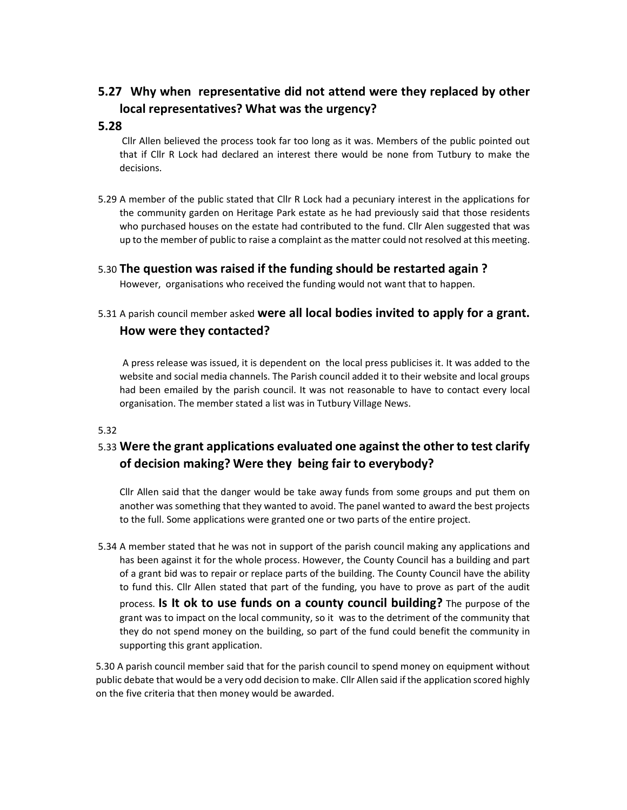## 5.27 Why when representative did not attend were they replaced by other local representatives? What was the urgency?

#### 5.28

 Cllr Allen believed the process took far too long as it was. Members of the public pointed out that if Cllr R Lock had declared an interest there would be none from Tutbury to make the decisions.

5.29 A member of the public stated that Cllr R Lock had a pecuniary interest in the applications for the community garden on Heritage Park estate as he had previously said that those residents who purchased houses on the estate had contributed to the fund. Cllr Alen suggested that was up to the member of public to raise a complaint as the matter could not resolved at this meeting.

#### 5.30 The question was raised if the funding should be restarted again ?

However, organisations who received the funding would not want that to happen.

### 5.31 A parish council member asked were all local bodies invited to apply for a grant. How were they contacted?

A press release was issued, it is dependent on the local press publicises it. It was added to the website and social media channels. The Parish council added it to their website and local groups had been emailed by the parish council. It was not reasonable to have to contact every local organisation. The member stated a list was in Tutbury Village News.

#### 5.32

### 5.33 Were the grant applications evaluated one against the other to test clarify of decision making? Were they being fair to everybody?

Cllr Allen said that the danger would be take away funds from some groups and put them on another was something that they wanted to avoid. The panel wanted to award the best projects to the full. Some applications were granted one or two parts of the entire project.

5.34 A member stated that he was not in support of the parish council making any applications and has been against it for the whole process. However, the County Council has a building and part of a grant bid was to repair or replace parts of the building. The County Council have the ability to fund this. Cllr Allen stated that part of the funding, you have to prove as part of the audit process. Is It ok to use funds on a county council building? The purpose of the grant was to impact on the local community, so it was to the detriment of the community that they do not spend money on the building, so part of the fund could benefit the community in supporting this grant application.

5.30 A parish council member said that for the parish council to spend money on equipment without public debate that would be a very odd decision to make. Cllr Allen said if the application scored highly on the five criteria that then money would be awarded.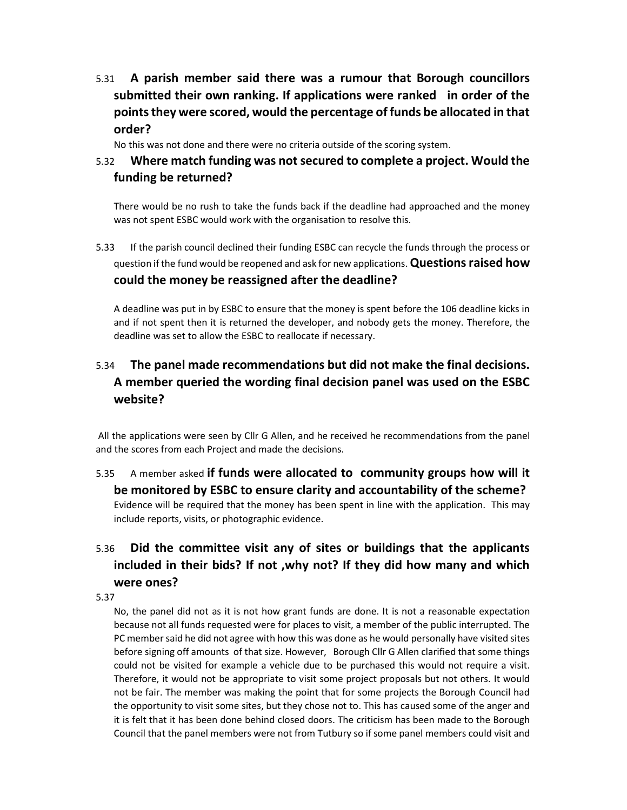5.31 A parish member said there was a rumour that Borough councillors submitted their own ranking. If applications were ranked in order of the points they were scored, would the percentage of funds be allocated in that order?

No this was not done and there were no criteria outside of the scoring system.

### 5.32 Where match funding was not secured to complete a project. Would the funding be returned?

There would be no rush to take the funds back if the deadline had approached and the money was not spent ESBC would work with the organisation to resolve this.

5.33 If the parish council declined their funding ESBC can recycle the funds through the process or question if the fund would be reopened and ask for new applications. Questions raised how could the money be reassigned after the deadline?

A deadline was put in by ESBC to ensure that the money is spent before the 106 deadline kicks in and if not spent then it is returned the developer, and nobody gets the money. Therefore, the deadline was set to allow the ESBC to reallocate if necessary.

## 5.34 The panel made recommendations but did not make the final decisions. A member queried the wording final decision panel was used on the ESBC website?

 All the applications were seen by Cllr G Allen, and he received he recommendations from the panel and the scores from each Project and made the decisions.

### 5.35 A member asked if funds were allocated to community groups how will it be monitored by ESBC to ensure clarity and accountability of the scheme? Evidence will be required that the money has been spent in line with the application. This may include reports, visits, or photographic evidence.

# 5.36 Did the committee visit any of sites or buildings that the applicants included in their bids? If not ,why not? If they did how many and which were ones?

#### 5.37

No, the panel did not as it is not how grant funds are done. It is not a reasonable expectation because not all funds requested were for places to visit, a member of the public interrupted. The PC member said he did not agree with how this was done as he would personally have visited sites before signing off amounts of that size. However, Borough Cllr G Allen clarified that some things could not be visited for example a vehicle due to be purchased this would not require a visit. Therefore, it would not be appropriate to visit some project proposals but not others. It would not be fair. The member was making the point that for some projects the Borough Council had the opportunity to visit some sites, but they chose not to. This has caused some of the anger and it is felt that it has been done behind closed doors. The criticism has been made to the Borough Council that the panel members were not from Tutbury so if some panel members could visit and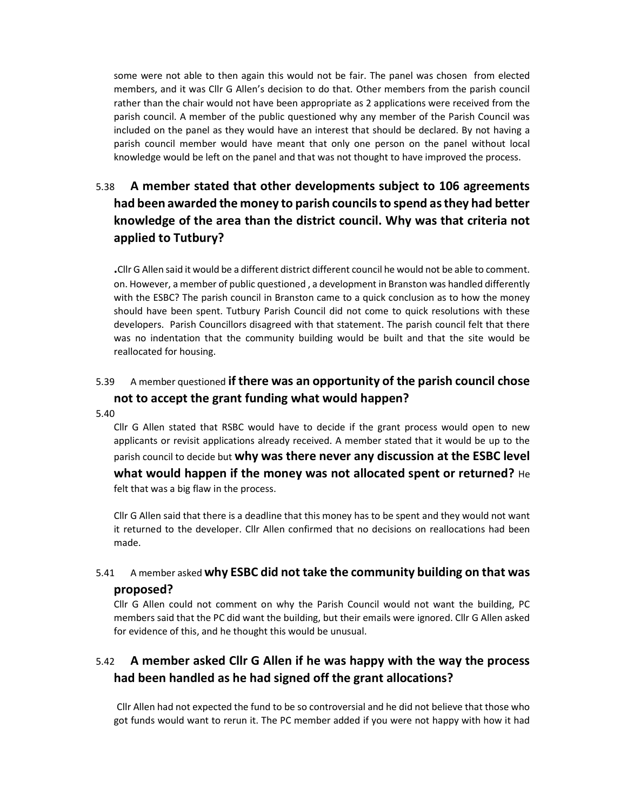some were not able to then again this would not be fair. The panel was chosen from elected members, and it was Cllr G Allen's decision to do that. Other members from the parish council rather than the chair would not have been appropriate as 2 applications were received from the parish council. A member of the public questioned why any member of the Parish Council was included on the panel as they would have an interest that should be declared. By not having a parish council member would have meant that only one person on the panel without local knowledge would be left on the panel and that was not thought to have improved the process.

# 5.38 A member stated that other developments subject to 106 agreements had been awarded the money to parish councils to spend as they had better knowledge of the area than the district council. Why was that criteria not applied to Tutbury?

.Cllr G Allen said it would be a different district different council he would not be able to comment. on. However, a member of public questioned , a development in Branston was handled differently with the ESBC? The parish council in Branston came to a quick conclusion as to how the money should have been spent. Tutbury Parish Council did not come to quick resolutions with these developers. Parish Councillors disagreed with that statement. The parish council felt that there was no indentation that the community building would be built and that the site would be reallocated for housing.

### 5.39 A member questioned if there was an opportunity of the parish council chose not to accept the grant funding what would happen?

5.40

Cllr G Allen stated that RSBC would have to decide if the grant process would open to new applicants or revisit applications already received. A member stated that it would be up to the parish council to decide but why was there never any discussion at the ESBC level what would happen if the money was not allocated spent or returned?  $He$ felt that was a big flaw in the process.

Cllr G Allen said that there is a deadline that this money has to be spent and they would not want it returned to the developer. Cllr Allen confirmed that no decisions on reallocations had been made.

### 5.41 A member asked why ESBC did not take the community building on that was proposed?

Cllr G Allen could not comment on why the Parish Council would not want the building, PC members said that the PC did want the building, but their emails were ignored. Cllr G Allen asked for evidence of this, and he thought this would be unusual.

### 5.42 A member asked Cllr G Allen if he was happy with the way the process had been handled as he had signed off the grant allocations?

Cllr Allen had not expected the fund to be so controversial and he did not believe that those who got funds would want to rerun it. The PC member added if you were not happy with how it had